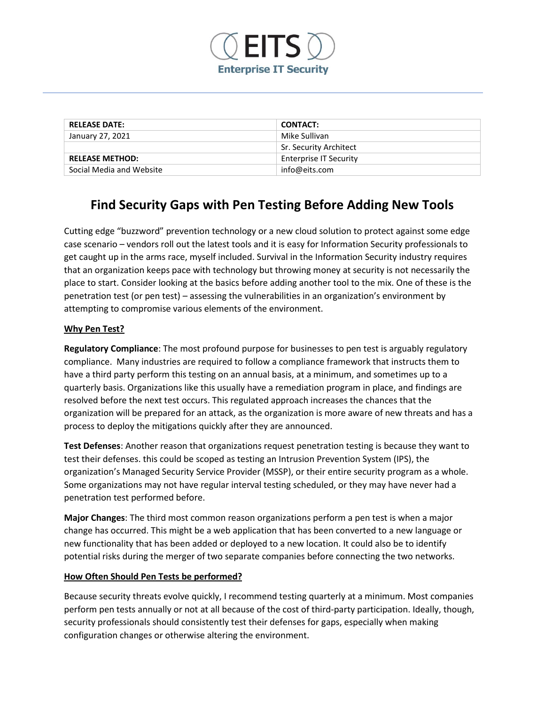

| <b>RELEASE DATE:</b>     | <b>CONTACT:</b>               |
|--------------------------|-------------------------------|
| January 27, 2021         | Mike Sullivan                 |
|                          | Sr. Security Architect        |
| <b>RELEASE METHOD:</b>   | <b>Enterprise IT Security</b> |
| Social Media and Website | info@eits.com                 |

# **Find Security Gaps with Pen Testing Before Adding New Tools**

Cutting edge "buzzword" prevention technology or a new cloud solution to protect against some edge case scenario – vendors roll out the latest tools and it is easy for Information Security professionals to get caught up in the arms race, myself included. Survival in the Information Security industry requires that an organization keeps pace with technology but throwing money at security is not necessarily the place to start. Consider looking at the basics before adding another tool to the mix. One of these is the penetration test (or pen test) – assessing the vulnerabilities in an organization's environment by attempting to compromise various elements of the environment.

# **Why Pen Test?**

**Regulatory Compliance**: The most profound purpose for businesses to pen test is arguably regulatory compliance. Many industries are required to follow a compliance framework that instructs them to have a third party perform this testing on an annual basis, at a minimum, and sometimes up to a quarterly basis. Organizations like this usually have a remediation program in place, and findings are resolved before the next test occurs. This regulated approach increases the chances that the organization will be prepared for an attack, as the organization is more aware of new threats and has a process to deploy the mitigations quickly after they are announced.

**Test Defenses**: Another reason that organizations request penetration testing is because they want to test their defenses. this could be scoped as testing an Intrusion Prevention System (IPS), the organization's Managed Security Service Provider (MSSP), or their entire security program as a whole. Some organizations may not have regular interval testing scheduled, or they may have never had a penetration test performed before.

**Major Changes**: The third most common reason organizations perform a pen test is when a major change has occurred. This might be a web application that has been converted to a new language or new functionality that has been added or deployed to a new location. It could also be to identify potential risks during the merger of two separate companies before connecting the two networks.

### **How Often Should Pen Tests be performed?**

Because security threats evolve quickly, I recommend testing quarterly at a minimum. Most companies perform pen tests annually or not at all because of the cost of third-party participation. Ideally, though, security professionals should consistently test their defenses for gaps, especially when making configuration changes or otherwise altering the environment.